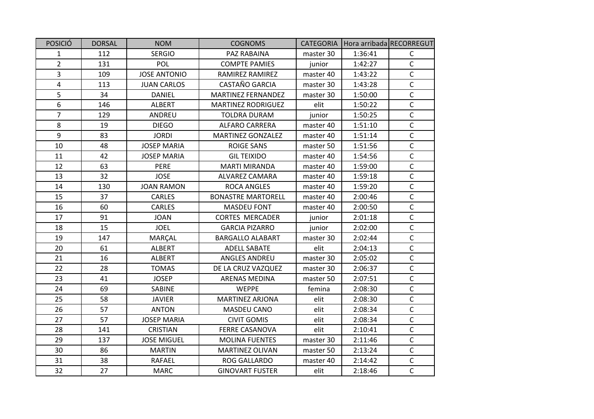| <b>POSICIÓ</b> | <b>DORSAL</b> | <b>NOM</b>          | <b>COGNOMS</b>            | <b>CATEGORIA</b> | Hora arribada RECORREGUT |              |
|----------------|---------------|---------------------|---------------------------|------------------|--------------------------|--------------|
| $\mathbf{1}$   | 112           | <b>SERGIO</b>       | PAZ RABAINA               | master 30        | 1:36:41                  | $\mathsf{C}$ |
| $\overline{2}$ | 131           | <b>POL</b>          | <b>COMPTE PAMIES</b>      | junior           | 1:42:27                  | $\mathsf{C}$ |
| $\overline{3}$ | 109           | <b>JOSE ANTONIO</b> | RAMIREZ RAMIREZ           | master 40        | 1:43:22                  | $\mathsf C$  |
| $\overline{4}$ | 113           | <b>JUAN CARLOS</b>  | <b>CASTAÑO GARCIA</b>     | master 30        | 1:43:28                  | $\mathsf C$  |
| 5              | 34            | <b>DANIEL</b>       | <b>MARTINEZ FERNANDEZ</b> | master 30        | 1:50:00                  | $\mathsf C$  |
| 6              | 146           | <b>ALBERT</b>       | <b>MARTINEZ RODRIGUEZ</b> | elit             | 1:50:22                  | $\mathsf C$  |
| $\overline{7}$ | 129           | ANDREU              | <b>TOLDRA DURAM</b>       | junior           | 1:50:25                  | $\mathsf{C}$ |
| 8              | 19            | <b>DIEGO</b>        | <b>ALFARO CARRERA</b>     | master 40        | 1:51:10                  | $\mathsf C$  |
| 9              | 83            | <b>JORDI</b>        | <b>MARTINEZ GONZALEZ</b>  | master 40        | 1:51:14                  | $\mathsf C$  |
| 10             | 48            | <b>JOSEP MARIA</b>  | <b>ROIGE SANS</b>         | master 50        | 1:51:56                  | $\mathsf{C}$ |
| 11             | 42            | <b>JOSEP MARIA</b>  | <b>GIL TEIXIDO</b>        | master 40        | 1:54:56                  | $\mathsf C$  |
| 12             | 63            | PERE                | <b>MARTI MIRANDA</b>      | master 40        | 1:59:00                  | $\mathsf C$  |
| 13             | 32            | <b>JOSE</b>         | <b>ALVAREZ CAMARA</b>     | master 40        | 1:59:18                  | $\mathsf C$  |
| 14             | 130           | <b>JOAN RAMON</b>   | <b>ROCA ANGLES</b>        | master 40        | 1:59:20                  | $\mathsf C$  |
| 15             | 37            | CARLES              | <b>BONASTRE MARTORELL</b> | master 40        | 2:00:46                  | $\mathsf C$  |
| 16             | 60            | <b>CARLES</b>       | <b>MASDEU FONT</b>        | master 40        | 2:00:50                  | $\mathsf{C}$ |
| 17             | 91            | <b>JOAN</b>         | <b>CORTES MERCADER</b>    | junior           | 2:01:18                  | $\mathsf{C}$ |
| 18             | 15            | <b>JOEL</b>         | <b>GARCIA PIZARRO</b>     | junior           | 2:02:00                  | $\mathsf C$  |
| 19             | 147           | <b>MARÇAL</b>       | <b>BARGALLO ALABART</b>   | master 30        | 2:02:44                  | $\mathsf C$  |
| 20             | 61            | ALBERT              | <b>ADELL SABATE</b>       | elit             | 2:04:13                  | $\mathsf C$  |
| 21             | 16            | ALBERT              | ANGLES ANDREU             | master 30        | 2:05:02                  | $\mathsf{C}$ |
| 22             | 28            | <b>TOMAS</b>        | DE LA CRUZ VAZQUEZ        | master 30        | 2:06:37                  | $\mathsf{C}$ |
| 23             | 41            | <b>JOSEP</b>        | <b>ARENAS MEDINA</b>      | master 50        | 2:07:51                  | $\mathsf C$  |
| 24             | 69            | SABINE              | <b>WEPPE</b>              | femina           | 2:08:30                  | $\mathsf{C}$ |
| 25             | 58            | <b>JAVIER</b>       | <b>MARTINEZ ARJONA</b>    | elit             | 2:08:30                  | $\mathsf C$  |
| 26             | 57            | <b>ANTON</b>        | MASDEU CANO               | elit             | 2:08:34                  | $\mathsf C$  |
| 27             | 57            | <b>JOSEP MARIA</b>  | <b>CIVIT GOMIS</b>        | elit             | 2:08:34                  | $\mathsf{C}$ |
| 28             | 141           | <b>CRISTIAN</b>     | <b>FERRE CASANOVA</b>     | elit             | 2:10:41                  | $\mathsf{C}$ |
| 29             | 137           | <b>JOSE MIGUEL</b>  | <b>MOLINA FUENTES</b>     | master 30        | 2:11:46                  | $\mathsf C$  |
| 30             | 86            | <b>MARTIN</b>       | <b>MARTINEZ OLIVAN</b>    | master 50        | 2:13:24                  | $\mathsf{C}$ |
| 31             | 38            | RAFAEL              | ROG GALLARDO              | master 40        | 2:14:42                  | $\mathsf C$  |
| 32             | 27            | <b>MARC</b>         | <b>GINOVART FUSTER</b>    | elit             | 2:18:46                  | $\mathsf{C}$ |